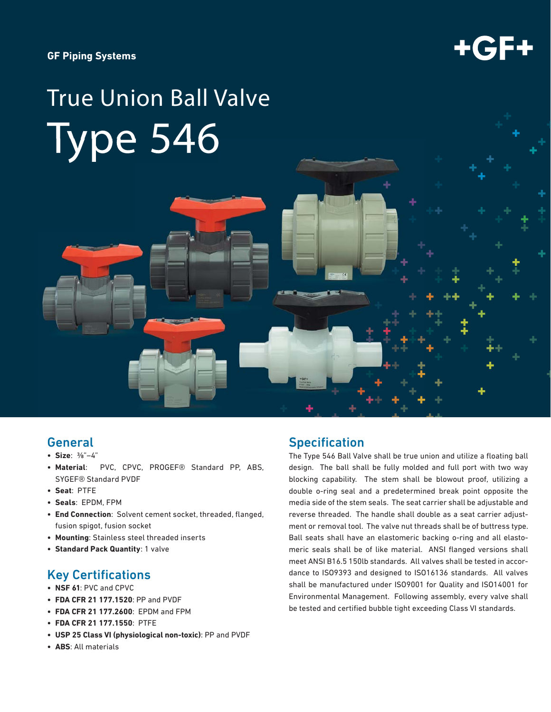#### **GF Piping Systems**



# True Union Ball Valve Type 546



# General

- **Size**: ⅜"–4"
- **Material**: PVC, CPVC, PROGEF® Standard PP, ABS, SYGEF® Standard PVDF
- **Seat**: PTFE
- **Seals**: EPDM, FPM
- **End Connection**: Solvent cement socket, threaded, flanged, fusion spigot, fusion socket
- **Mounting**: Stainless steel threaded inserts
- **Standard Pack Quantity**: 1 valve

# **Key Certifications**

- **NSF 61**: PVC and CPVC
- **FDA CFR 21 177.1520**: PP and PVDF
- **FDA CFR 21 177.2600**: EPDM and FPM
- **FDA CFR 21 177.1550**: PTFE
- **USP 25 Class VI (physiological non-toxic)**: PP and PVDF
- **ABS**: All materials

# **Specification**

The Type 546 Ball Valve shall be true union and utilize a floating ball design. The ball shall be fully molded and full port with two way blocking capability. The stem shall be blowout proof, utilizing a double o-ring seal and a predetermined break point opposite the media side of the stem seals. The seat carrier shall be adjustable and reverse threaded. The handle shall double as a seat carrier adjustment or removal tool. The valve nut threads shall be of buttress type. Ball seats shall have an elastomeric backing o-ring and all elastomeric seals shall be of like material. ANSI flanged versions shall meet ANSI B16.5 150lb standards. All valves shall be tested in accordance to ISO9393 and designed to ISO16136 standards. All valves shall be manufactured under ISO9001 for Quality and ISO14001 for Environmental Management. Following assembly, every valve shall be tested and certified bubble tight exceeding Class VI standards.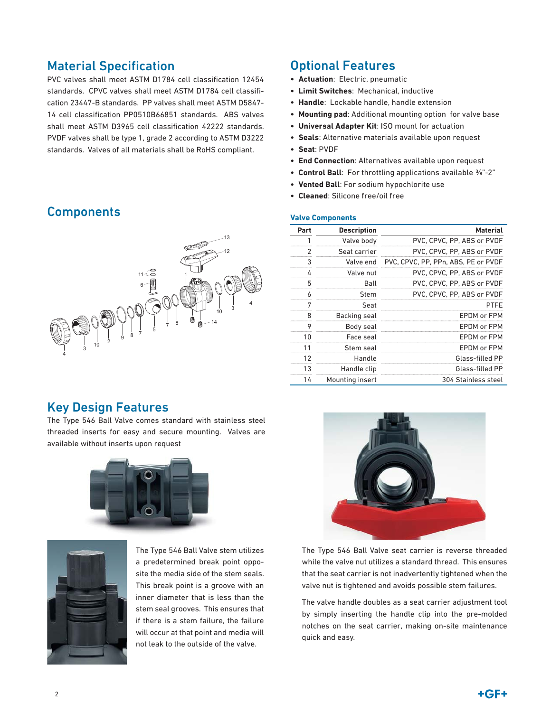# **Material Specification**

PVC valves shall meet ASTM D1784 cell classification 12454 standards. CPVC valves shall meet ASTM D1784 cell classification 23447-B standards. PP valves shall meet ASTM D5847- 14 cell classification PP0510B66851 standards. ABS valves shall meet ASTM D3965 cell classification 42222 standards. PVDF valves shall be type 1, grade 2 according to ASTM D3222 standards. Valves of all materials shall be RoHS compliant.

# **Components**



# Optional Features

- **Actuation**: Electric, pneumatic
- **Limit Switches**: Mechanical, inductive
- **Handle**: Lockable handle, handle extension
- **Mounting pad**: Additional mounting option for valve base
- **Universal Adapter Kit**: ISO mount for actuation
- **Seals**: Alternative materials available upon request
- **Seat**: PVDF
- **End Connection**: Alternatives available upon request
- **Control Ball**: For throttling applications available ⅜"-2"
- **Vented Ball**: For sodium hypochlorite use
- **Cleaned**: Silicone free/oil free

#### **Valve Components**

| Part           | <b>Description</b> | <b>Material</b>                     |
|----------------|--------------------|-------------------------------------|
| 1              | Valve body         | PVC, CPVC, PP, ABS or PVDF          |
| $\mathfrak{p}$ | Seat carrier       | PVC, CPVC, PP, ABS or PVDF          |
| 3              | Valve end          | PVC, CPVC, PP, PPn, ABS, PE or PVDF |
| 4              | Valve nut          | PVC, CPVC, PP, ABS or PVDF          |
| 5              | Ball               | PVC, CPVC, PP, ABS or PVDF          |
| 6              | Stem               | PVC, CPVC, PP, ABS or PVDF          |
| 7              | Seat               | PTFE                                |
| 8              | Backing seal       | EPDM or FPM                         |
| 9              | Body seal          | EPDM or FPM                         |
| 10             | Face seal          | FPDM or FPM                         |
| 11             | Stem seal          | EPDM or FPM                         |
| 12             | Handle             | Glass-filled PP                     |
| 13             | Handle clip        | Glass-filled PP                     |
| 14             | Mounting insert    | 304 Stainless steel                 |

# Key Design Features

The Type 546 Ball Valve comes standard with stainless steel threaded inserts for easy and secure mounting. Valves are available without inserts upon request





The Type 546 Ball Valve stem utilizes a predetermined break point opposite the media side of the stem seals. This break point is a groove with an inner diameter that is less than the stem seal grooves. This ensures that if there is a stem failure, the failure will occur at that point and media will not leak to the outside of the valve.



The Type 546 Ball Valve seat carrier is reverse threaded while the valve nut utilizes a standard thread. This ensures that the seat carrier is not inadvertently tightened when the valve nut is tightened and avoids possible stem failures.

The valve handle doubles as a seat carrier adjustment tool by simply inserting the handle clip into the pre-molded notches on the seat carrier, making on-site maintenance quick and easy.

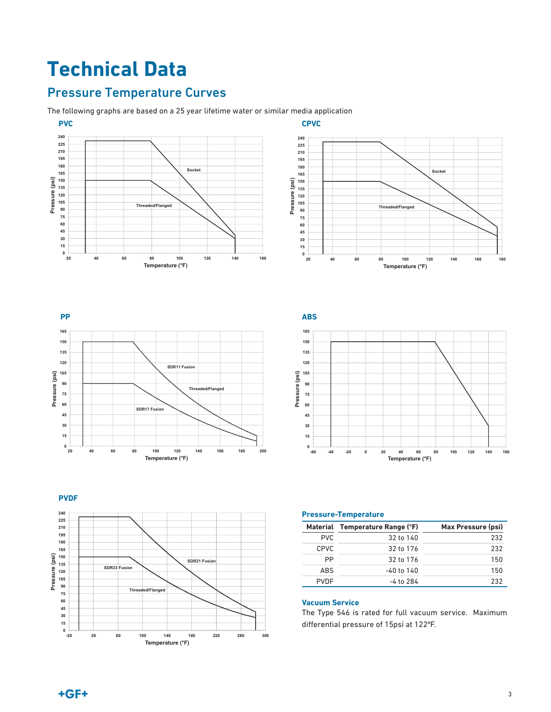# **Technical Data**

# Pressure Temperature Curves

The following graphs are based on a 25 year lifetime water or similar media application



**CPVC Socket Pressure (psi)**  Pressure (psi) **Threaded/Flanged**   $\frac{1}{20}$ **20 40 60 80 100 120 140 160 180 Temperature (°F)** 







#### **Pressure-Temperature**

|             | Material Temperature Range (°F) | Max Pressure (psi) |
|-------------|---------------------------------|--------------------|
| PVC         | 32 to 140                       |                    |
| <b>CPVC</b> | 32 to 176                       |                    |
|             | 32 to 176                       |                    |
| ΔRς         | -40 to 140                      |                    |
|             | -4 to 284                       |                    |

#### **Vacuum Service**

The Type 546 is rated for full vacuum service. Maximum differential pressure of 15psi at 122°F.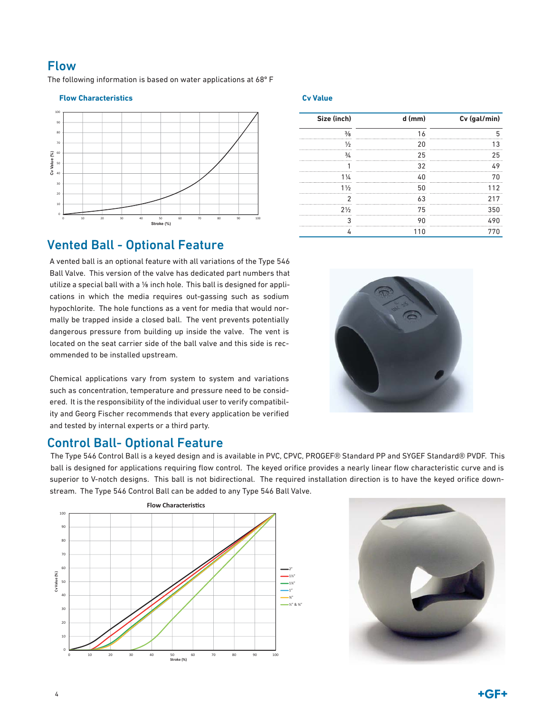Flow

The following information is based on water applications at 68º F

#### **Flow Characteristics Cv Value**



| Size (inch)     | d (mm) | Cv (gal/min) |
|-----------------|--------|--------------|
|                 |        |              |
| ⅓               | 20     |              |
| $\frac{3}{4}$   | 25     | 25           |
|                 |        | 4 Q          |
| 1/2             |        |              |
| 1 $\frac{1}{2}$ |        |              |
|                 |        |              |
| $2\frac{1}{2}$  | 75     | 350          |
|                 |        |              |
|                 |        |              |

# Vented Ball - Optional Feature

A vented ball is an optional feature with all variations of the Type 546 Ball Valve. This version of the valve has dedicated part numbers that utilize a special ball with a ⅛ inch hole. This ball is designed for applications in which the media requires out-gassing such as sodium hypochlorite. The hole functions as a vent for media that would normally be trapped inside a closed ball. The vent prevents potentially dangerous pressure from building up inside the valve. The vent is located on the seat carrier side of the ball valve and this side is recommended to be installed upstream.

Chemical applications vary from system to system and variations such as concentration, temperature and pressure need to be considered. It is the responsibility of the individual user to verify compatibility and Georg Fischer recommends that every application be verified and tested by internal experts or a third party.

### Control Ball- Optional Feature

The Type 546 Control Ball is a keyed design and is available in PVC, CPVC, PROGEF® Standard PP and SYGEF Standard® PVDF. This ball is designed for applications requiring flow control. The keyed orifice provides a nearly linear flow characteristic curve and is superior to V-notch designs. This ball is not bidirectional. The required installation direction is to have the keyed orifice downstream. The Type 546 Control Ball can be added to any Type 546 Ball Valve.





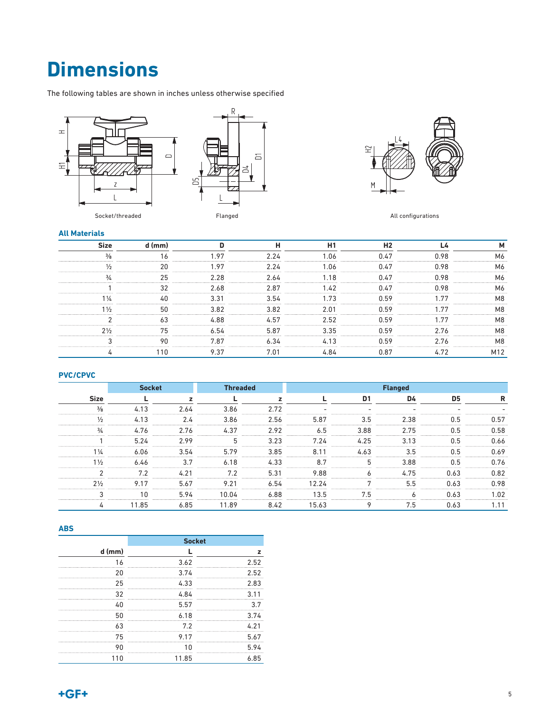# **Dimensions**

The following tables are shown in inches unless otherwise specified







All configurations

#### **All Materials**

| <b>Size</b>    | d (mm) |      | н    | H1   | H <sub>2</sub> | L4   | M              |
|----------------|--------|------|------|------|----------------|------|----------------|
| $\frac{3}{8}$  | 16     | 1.97 | 2.24 | 1.06 | 0.47           | 0.98 | M6             |
| $\frac{1}{2}$  | 20     | 1.97 | 2.24 | 1.06 | 0.47           | 0.98 | M6             |
| $\frac{3}{4}$  | 25     | 2.28 | 2.64 | 1.18 | 0.47           | 0.98 | M6             |
|                | 32     | 2.68 | 2.87 | 1.42 | 0.47           | 0.98 | M6             |
| $1\frac{1}{4}$ | 40     | 3.31 | 3.54 | 1.73 | 0.59           | 1.77 | M8             |
| $1\frac{1}{2}$ | 50     | 3.82 | 3.82 | 2.01 | 0.59           | 1.77 | M <sub>8</sub> |
| $\overline{2}$ | 63     | 4.88 | 4.57 | 2.52 | 0.59           | 1.77 | M <sub>8</sub> |
| $2\frac{1}{2}$ | 75     | 6.54 | 5.87 | 3.35 | 0.59           | 2.76 | M8             |
| 3              | 90     | 7.87 | 6.34 | 4.13 | 0.59           | 2.76 | M <sub>8</sub> |
| 4              | 110    | 9.37 | 7.01 | 4.84 | 0.87           | 4.72 | M12            |

#### **PVC/CPVC**

|                | <b>Socket</b> |              | <b>Threaded</b> |      | <b>Flanged</b> |                |      |                          |      |
|----------------|---------------|--------------|-----------------|------|----------------|----------------|------|--------------------------|------|
| <b>Size</b>    |               | $\mathbf{z}$ |                 | z    |                | D <sub>1</sub> | D4   | D5                       | R    |
| $\frac{3}{8}$  | 4.13          | 2.64         | 3.86            | 2.72 | $\sim$         | ۰              | ۰    | $\overline{\phantom{a}}$ | -    |
| $\frac{1}{2}$  | 4.13          | 2.4          | 3.86            | 2.56 | 5.87           | 3.5            | 2.38 | 0.5                      | 0.57 |
| $\frac{3}{4}$  | 4.76          | 2.76         | 4.37            | 2.92 | 6.5            | 3.88           | 2.75 | 0.5                      | 0.58 |
|                | 5.24          | 2.99         | 5               | 3.23 | 7.24           | 4.25           | 3.13 | 0.5                      | 0.66 |
| $1\frac{1}{4}$ | 6.06          | 3.54         | 5.79            | 3.85 | 8.11           | 4.63           | 3.5  | 0.5                      | 0.69 |
| $1\frac{1}{2}$ | 6.46          | 3.7          | 6.18            | 4.33 | 8.7            | 5              | 3.88 | 0.5                      | 0.76 |
| 2              | 7.2           | 4.21         | 7.2             | 5.31 | 9.88           | 6              | 4.75 | 0.63                     | 0.82 |
| $2\frac{1}{2}$ | 9.17          | 5.67         | 9.21            | 6.54 | 12.24          |                | 5.5  | 0.63                     | 0.98 |
| 3              | 10            | 5.94         | 10.04           | 6.88 | 13.5           | 7.5            | 6    | 0.63                     | 1.02 |
| 4              | 11.85         | 6.85         | 11.89           | 8.42 | 15.63          | 9              | 7.5  | 0.63                     | 1.11 |

#### **ABS**

|          |       | <b>Socket</b> |
|----------|-------|---------------|
| $d$ (mm) |       |               |
|          | 3.62  | 252           |
|          | 3.74  | 2.52          |
| 25       | 4.33  | 2.83          |
| 32       | 4.84  | 3 1 1         |
|          | 557   |               |
|          | 6.18  | 3 7 L         |
| 63       | 7.2   |               |
| 75       | 9.17  | 5.67          |
|          |       | 5.94          |
|          | 11.85 | 6 85          |